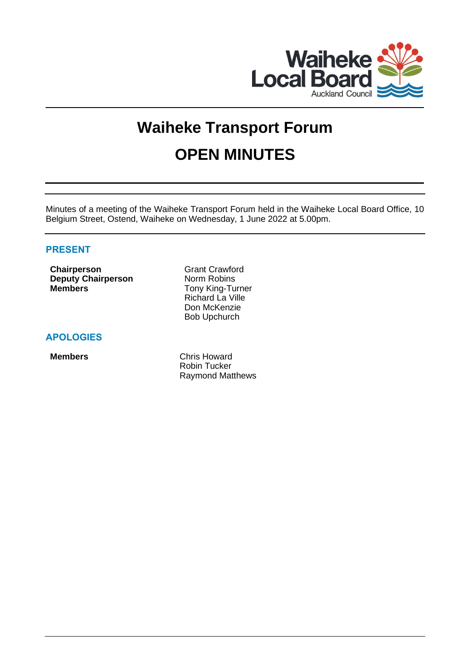

# **Waiheke Transport Forum OPEN MINUTES**

Minutes of a meeting of the Waiheke Transport Forum held in the Waiheke Local Board Office, 10 Belgium Street, Ostend, Waiheke on Wednesday, 1 June 2022 at 5.00pm.

# **PRESENT**

**Chairperson** Grant Crawford **Deputy Chairperson** Norm Robins **Members** Tony King-Turner

Richard La Ville Don McKenzie Bob Upchurch

# **APOLOGIES**

**Members** Chris Howard Robin Tucker Raymond Matthews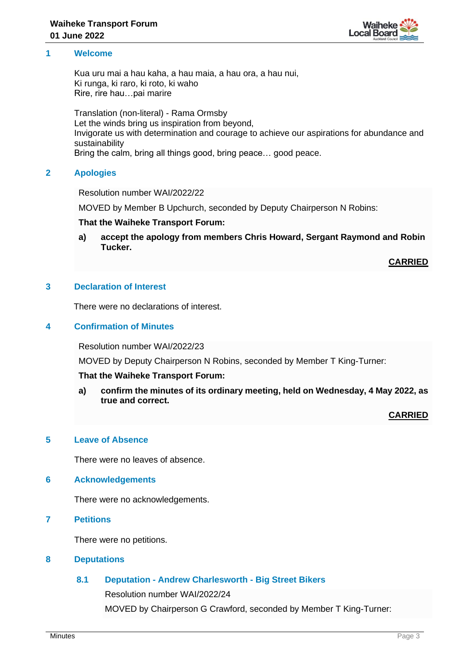

# **1 Welcome**

Kua uru mai a hau kaha, a hau maia, a hau ora, a hau nui, Ki runga, ki raro, ki roto, ki waho Rire, rire hau…pai marire

Translation (non-literal) - Rama Ormsby Let the winds bring us inspiration from beyond, Invigorate us with determination and courage to achieve our aspirations for abundance and sustainability Bring the calm, bring all things good, bring peace… good peace.

# **2 Apologies**

Resolution number WAI/2022/22

MOVED by Member B Upchurch, seconded by Deputy Chairperson N Robins:

#### **That the Waiheke Transport Forum:**

**a) accept the apology from members Chris Howard, Sergant Raymond and Robin Tucker.**

**CARRIED**

### **3 Declaration of Interest**

There were no declarations of interest.

### **4 Confirmation of Minutes**

Resolution number WAI/2022/23

MOVED by Deputy Chairperson N Robins, seconded by Member T King-Turner:

#### **That the Waiheke Transport Forum:**

**a) confirm the minutes of its ordinary meeting, held on Wednesday, 4 May 2022, as true and correct.**

**CARRIED**

# **5 Leave of Absence**

There were no leaves of absence.

#### **6 Acknowledgements**

There were no acknowledgements.

**7 Petitions**

There were no petitions.

#### **8 Deputations**

# **8.1 Deputation - Andrew Charlesworth - Big Street Bikers**

Resolution number WAI/2022/24

MOVED by Chairperson G Crawford, seconded by Member T King-Turner: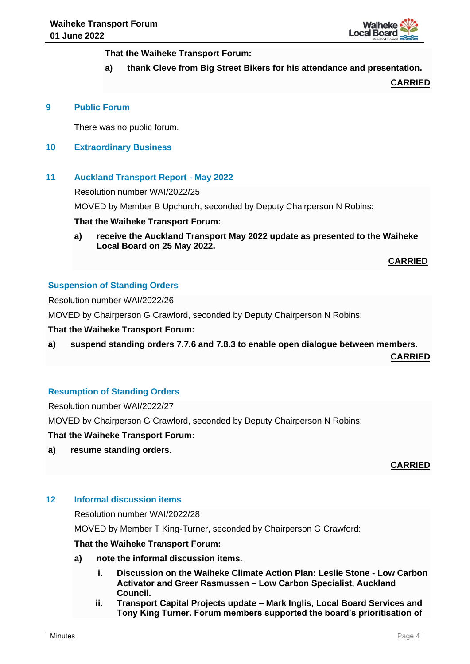

**That the Waiheke Transport Forum:**

**a) thank Cleve from Big Street Bikers for his attendance and presentation.**

**CARRIED**

#### **9 Public Forum**

There was no public forum.

# **10 Extraordinary Business**

### **11 Auckland Transport Report - May 2022**

Resolution number WAI/2022/25

MOVED by Member B Upchurch, seconded by Deputy Chairperson N Robins:

#### **That the Waiheke Transport Forum:**

**a) receive the Auckland Transport May 2022 update as presented to the Waiheke Local Board on 25 May 2022.**

**CARRIED**

# **Suspension of Standing Orders**

Resolution number WAI/2022/26

MOVED by Chairperson G Crawford, seconded by Deputy Chairperson N Robins:

#### **That the Waiheke Transport Forum:**

**a) suspend standing orders 7.7.6 and 7.8.3 to enable open dialogue between members.**

**CARRIED**

# **Resumption of Standing Orders**

Resolution number WAI/2022/27

MOVED by Chairperson G Crawford, seconded by Deputy Chairperson N Robins:

**That the Waiheke Transport Forum:**

**a) resume standing orders.**

# **CARRIED**

#### **12 Informal discussion items**

Resolution number WAI/2022/28

MOVED by Member T King-Turner, seconded by Chairperson G Crawford:

#### **That the Waiheke Transport Forum:**

- **a) note the informal discussion items.**
	- **i. Discussion on the Waiheke Climate Action Plan: Leslie Stone - Low Carbon Activator and Greer Rasmussen – Low Carbon Specialist, Auckland Council.**
	- **ii. Transport Capital Projects update – Mark Inglis, Local Board Services and Tony King Turner. Forum members supported the board's prioritisation of**